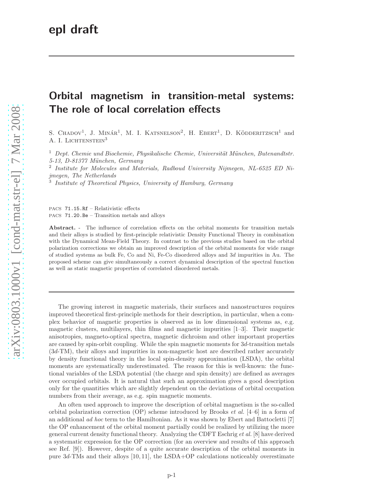## Orbital magnetism in transition-metal systems: The role of local correlation effects

S. CHADOV<sup>1</sup>, J. MINÁR<sup>1</sup>, M. I. KATSNELSON<sup>2</sup>, H. EBERT<sup>1</sup>, D. KÖDDERITZSCH<sup>1</sup> and A. I. LICHTENSTEIN<sup>3</sup>

 $1$  Dept. Chemie und Biochemie, Physikalische Chemie, Universität München, Butenandtstr. 5-13, D-81377 München, Germany

2 Institute for Molecules and Materials, Radboud University Nijmegen, NL-6525 ED Nijmegen, The Netherlands

<sup>3</sup> Institute of Theoretical Physics, University of Hamburg, Germany

PACS 71.15.Rf – Relativistic effects PACS 71.20.Be – Transition metals and alloys

Abstract. - The influence of correlation effects on the orbital moments for transition metals and their alloys is studied by first-principle relativistic Density Functional Theory in combination with the Dynamical Mean-Field Theory. In contrast to the previous studies based on the orbital polarization corrections we obtain an improved description of the orbital moments for wide range of studied systems as bulk Fe, Co and Ni, Fe-Co disordered alloys and 3d impurities in Au. The proposed scheme can give simultaneously a correct dynamical description of the spectral function as well as static magnetic properties of correlated disordered metals.

The growing interest in magnetic materials, their surfaces and nanostructures requires improved theoretical first-principle methods for their description, in particular, when a complex behavior of magnetic properties is observed as in low dimensional systems as, e.g. magnetic clusters, multilayers, thin films and magnetic impurities [1–3]. Their magnetic anisotropies, magneto-optical spectra, magnetic dichroism and other important properties are caused by spin-orbit coupling. While the spin magnetic moments for 3d-transition metals (3d-TM), their alloys and impurities in non-magnetic host are described rather accurately by density functional theory in the local spin-density approximation (LSDA), the orbital moments are systematically underestimated. The reason for this is well-known: the functional variables of the LSDA potential (the charge and spin density) are defined as averages over occupied orbitals. It is natural that such an approximation gives a good description only for the quantities which are slightly dependent on the deviations of orbital occupation numbers from their average, as e.g. spin magnetic moments.

An often used approach to improve the description of orbital magnetism is the so-called orbital polarization correction (OP) scheme introduced by Brooks *et al.* [4–6] in a form of an additional ad hoc term to the Hamiltonian. As it was shown by Ebert and Battocletti [7] the OP enhancement of the orbital moment partially could be realized by utilizing the more general current density functional theory. Analyzing the CDFT Eschrig et al. [8] have derived a systematic expression for the OP correction (for an overview and results of this approach see Ref. [9]). However, despite of a quite accurate description of the orbital moments in pure 3d-TMs and their alloys [10, 11], the LSDA+OP calculations noticeably overestimate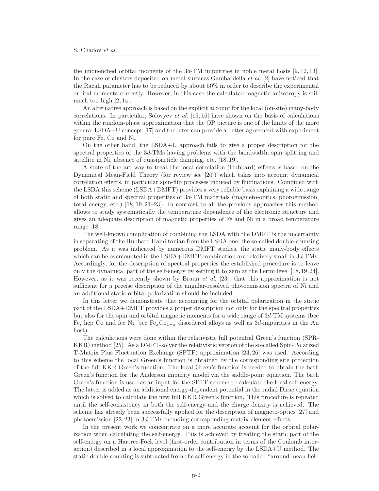the unquenched orbital moments of the  $3d$ -TM impurities in noble metal hosts [9, 12, 13]. In the case of clusters deposited on metal surfaces Gambardella *et al.* [2] have noticed that the Racah parameter has to be reduced by about 50% in order to describe the experimental orbital moments correctly. However, in this case the calculated magnetic anisotropy is still much too high [2, 14].

An alternative approach is based on the explicit account for the local (on-site) many-body correlations. In particular, Solovyev *et al.* [15, 16] have shown on the basis of calculations within the random-phase approximation that the OP picture is one of the limits of the more general LSDA+U concept [17] and the later can provide a better agreement with experiment for pure Fe, Co and Ni.

On the other hand, the LSDA+U approach fails to give a proper description for the spectral properties of the 3d-TMs having problems with the bandwidth, spin splitting and satellite in Ni, absence of quasiparticle damping, etc. [18, 19].

A state of the art way to treat the local correlation (Hubbard) effects is based on the Dynamical Mean-Field Theory (for review see [20]) which takes into account dynamical correlation effects, in particular spin-flip processes induced by fluctuations. Combined with the LSDA this scheme (LSDA+DMFT) provides a very reliable basis explaining a wide range of both static and spectral properties of 3d-TM materials (magneto-optics, photoemission, total energy, etc.) [18, 19, 21–23]. In contrast to all the previous approaches this method allows to study systematically the temperature dependence of the electronic structure and gives an adequate description of magnetic properties of Fe and Ni in a broad temperature range [18].

The well-known complication of combining the LSDA with the DMFT is the uncertainty in separating of the Hubbard Hamiltonian from the LSDA one, the so-called double-counting problem. As it was indicated by numerous DMFT studies, the static many-body effects which can be overcounted in the LSDA+DMFT combination are relatively small in  $3d$ -TMs. Accordingly, for the description of spectral properties the established procedure is to leave only the dynamical part of the self-energy by setting it to zero at the Fermi level [18,19,24]. However, as it was recently shown by Braun et al. [23], that this approximation is not sufficient for a precise description of the angular-resolved photoemission spectra of Ni and an additional static orbital polarization should be included.

In this letter we demonstrate that accounting for the orbital polarization in the static part of the LSDA+DMFT provides a proper description not only for the spectral properties but also for the spin and orbital magnetic moments for a wide range of 3d-TM systems (bcc Fe, hcp Co and fcc Ni, bcc  $Fe<sub>x</sub>Co<sub>1-x</sub>$  disordered alloys as well as 3d-impurities in the Au host).

The calculations were done within the relativistic full potential Green's function (SPR-KKR) method [25]. As a DMFT-solver the relativistic version of the so-called Spin-Polarized T-Matrix Plus Fluctuation Exchange (SPTF) approximation [24, 26] was used. According to this scheme the local Green's function is obtained by the corresponding site projection of the full KKR Green's function. The local Green's function is needed to obtain the bath Green's function for the Anderson impurity model via the saddle-point equation. The bath Green's function is used as an input for the SPTF scheme to calculate the local self-energy. The latter is added as an additional energy-dependent potential in the radial Dirac equation which is solved to calculate the new full KKR Green's function. This procedure is repeated until the self-consistency in both the self-energy and the charge density is achieved. The scheme has already been successfully applied for the description of magneto-optics [27] and photoemission [22, 23] in 3d-TMs including corresponding matrix element effects.

In the present work we concentrate on a more accurate account for the orbital polarization when calculating the self-energy. This is achieved by treating the static part of the self-energy on a Hartree-Fock level (first-order contribution in terms of the Coulomb interaction) described in a local approximation to the self-energy by the LSDA+U method. The static double-counting is subtracted from the self-energy in the so-called "around mean-field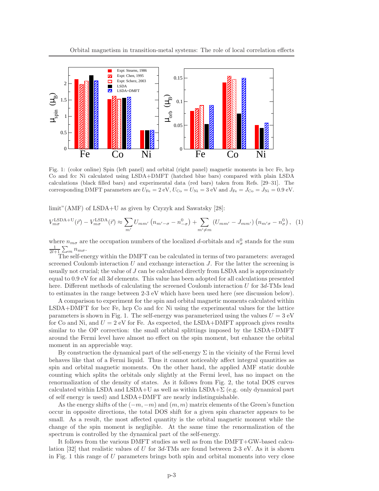

Fig. 1: (color online) Spin (left panel) and orbital (right panel) magnetic moments in bcc Fe, hcp Co and fcc Ni calculated using LSDA+DMFT (hatched blue bars) compared with plain LSDA calculations (black filled bars) and experimental data (red bars) taken from Refs. [29–31]. The corresponding DMFT parameters are  $U_{\text{Fe}} = 2 \text{ eV}$ ,  $U_{\text{Co}} = U_{\text{Ni}} = 3 \text{ eV}$  and  $J_{\text{Fe}} = J_{\text{Co}} = J_{\text{Ni}} = 0.9 \text{ eV}$ .

limit"(AMF) of LSDA+U as given by Czyzyk and Sawatsky [28]:

$$
V_{m\sigma}^{\text{LSDA+U}}(\vec{r}) - V_{m\sigma}^{\text{LSDA}}(\vec{r}) \approx \sum_{m'} U_{mm'} \left( n_{m'-\sigma} - n_{-\sigma}^0 \right) + \sum_{m' \neq m} \left( U_{mm'} - J_{mm'} \right) \left( n_{m'\sigma} - n_{\sigma}^0 \right), \tag{1}
$$

where  $n_{m\sigma}$  are the occupation numbers of the localized d-orbitals and  $n_{\sigma}^0$  stands for the sum  $\frac{1}{2l+1}\sum_m n_{m\sigma}$ .

The self-energy within the DMFT can be calculated in terms of two parameters: averaged screened Coulomb interaction  $U$  and exchange interaction  $J$ . For the latter the screening is usually not crucial; the value of J can be calculated directly from LSDA and is approximately equal to 0.9 eV for all 3d elements. This value has been adopted for all calculations presented here. Different methods of calculating the screened Coulomb interaction U for 3d-TMs lead to estimates in the range between 2-3 eV which have been used here (see discussion below).

A comparison to experiment for the spin and orbital magnetic moments calculated within LSDA+DMFT for bcc Fe, hcp Co and fcc Ni using the experimental values for the lattice parameters is shown in Fig. 1. The self-energy was parameterized using the values  $U = 3$  eV for Co and Ni, and  $U = 2$  eV for Fe. As expected, the LSDA+DMFT approach gives results similar to the OP correction: the small orbital splittings imposed by the LSDA+DMFT around the Fermi level have almost no effect on the spin moment, but enhance the orbital moment in an appreciable way.

By construction the dynamical part of the self-energy  $\Sigma$  in the vicinity of the Fermi level behaves like that of a Fermi liquid. Thus it cannot noticeably affect integral quantities as spin and orbital magnetic moments. On the other hand, the applied AMF static double counting which splits the orbitals only slightly at the Fermi level, has no impact on the renormalization of the density of states. As it follows from Fig. 2, the total DOS curves calculated within LSDA and LSDA+U as well as within LSDA+ $\Sigma$  (e.g. only dynamical part of self energy is used) and LSDA+DMFT are nearly indistinguishable.

As the energy shifts of the  $(-m, -m)$  and  $(m, m)$  matrix elements of the Green's function occur in opposite directions, the total DOS shift for a given spin character appears to be small. As a result, the most affected quantity is the orbital magnetic moment while the change of the spin moment is negligible. At the same time the renormalization of the spectrum is controlled by the dynamical part of the self-energy.

It follows from the various DMFT studies as well as from the DMFT+GW-based calculation [32] that realistic values of U for  $3d$ -TMs are found between 2-3 eV. As it is shown in Fig. 1 this range of U parameters brings both spin and orbital moments into very close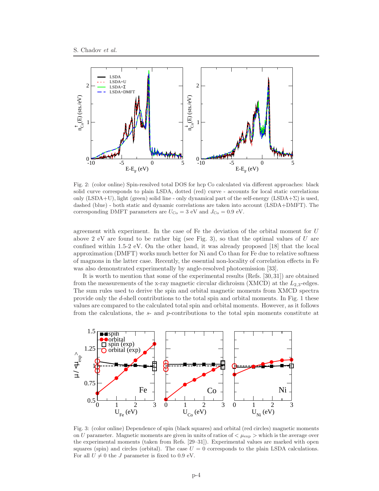

Fig. 2: (color online) Spin-resolved total DOS for hcp Co calculated via different approaches: black solid curve corresponds to plain LSDA, dotted (red) curve - accounts for local static correlations only  $(LSDA+U)$ , light (green) solid line - only dynamical part of the self-energy  $(LSDA+\Sigma)$  is used, dashed (blue) - both static and dynamic correlations are taken into account (LSDA+DMFT). The corresponding DMFT parameters are  $U_{\text{Co}} = 3$  eV and  $J_{\text{Co}} = 0.9$  eV.

agreement with experiment. In the case of Fe the deviation of the orbital moment for U above 2 eV are found to be rather big (see Fig. 3), so that the optimal values of  $U$  are confined within 1.5-2 eV. On the other hand, it was already proposed [18] that the local approximation (DMFT) works much better for Ni and Co than for Fe due to relative softness of magnons in the latter case. Recently, the essential non-locality of correlation effects in Fe was also demonstrated experimentally by angle-resolved photoemission [33].

It is worth to mention that some of the experimental results (Refs. [30, 31]) are obtained from the measurements of the x-ray magnetic circular dichroism (XMCD) at the  $L_{2,3}$ -edges. The sum rules used to derive the spin and orbital magnetic moments from XMCD spectra provide only the d-shell contributions to the total spin and orbital moments. In Fig. 1 these values are compared to the calculated total spin and orbital moments. However, as it follows from the calculations, the s- and p-contributions to the total spin moments constitute at



Fig. 3: (color online) Dependence of spin (black squares) and orbital (red circles) magnetic moments on U parameter. Magnetic moments are given in units of ratios of  $\lt \mu_{\exp} >$  which is the average over the experimental moments (taken from Refs. [29–31]). Experimental values are marked with open squares (spin) and circles (orbital). The case  $U = 0$  corresponds to the plain LSDA calculations. For all  $U \neq 0$  the J parameter is fixed to 0.9 eV.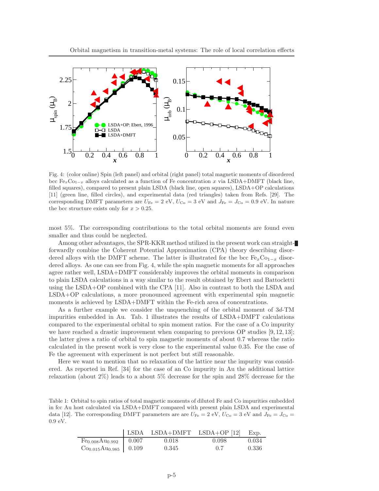

Fig. 4: (color online) Spin (left panel) and orbital (right panel) total magnetic moments of disordered bcc Fe<sub>x</sub>Co<sub>1−x</sub> alloys calculated as a function of Fe concentration x via LSDA+DMFT (black line, filled squares), compared to present plain LSDA (black line, open squares), LSDA+OP calculations [11] (green line, filled circles), and experimental data (red triangles) taken from Refs. [29]. The corresponding DMFT parameters are  $U_{\text{Fe}} = 2 \text{ eV}$ ,  $U_{\text{Co}} = 3 \text{ eV}$  and  $J_{\text{Fe}} = J_{\text{Co}} = 0.9 \text{ eV}$ . In nature the bcc structure exists only for  $x > 0.25$ .

most 5%. The corresponding contributions to the total orbital moments are found even smaller and thus could be neglected.

Among other advantages, the SPR-KKR method utilized in the present work can straightforwardly combine the Coherent Potential Approximation (CPA) theory describing disordered alloys with the DMFT scheme. The latter is illustrated for the bcc  $Fe_xCo_{1-x}$  disordered alloys. As one can see from Fig. 4, while the spin magnetic moments for all approaches agree rather well, LSDA+DMFT considerably improves the orbital moments in comparison to plain LSDA calculations in a way similar to the result obtained by Ebert and Battocletti using the LSDA+OP combined with the CPA [11]. Also in contrast to both the LSDA and LSDA+OP calculations, a more pronounced agreement with experimental spin magnetic moments is achieved by LSDA+DMFT within the Fe-rich area of concentrations.

As a further example we consider the unquenching of the orbital moment of 3d-TM impurities embedded in Au. Tab. 1 illustrates the results of LSDA+DMFT calculations compared to the experimental orbital to spin moment ratios. For the case of a Co impurity we have reached a drastic improvement when comparing to previous OP studies [9, 12, 13]; the latter gives a ratio of orbital to spin magnetic moments of about 0.7 whereas the ratio calculated in the present work is very close to the experimental value 0.35. For the case of Fe the agreement with experiment is not perfect but still reasonable.

Here we want to mention that no relaxation of the lattice near the impurity was considered. As reported in Ref. [34] for the case of an Co impurity in Au the additional lattice relaxation (about 2%) leads to a about 5% decrease for the spin and 28% decrease for the

Table 1: Orbital to spin ratios of total magnetic moments of diluted Fe and Co impurities embedded in fcc Au host calculated via LSDA+DMFT compared with present plain LSDA and experimental data [12]. The corresponding DMFT parameters are are  $U_{\text{Fe}} = 2 \text{ eV}$ ,  $U_{\text{Co}} = 3 \text{ eV}$  and  $J_{\text{Fe}} = J_{\text{Co}} =$ 0.9 eV.

|                        |       | $\vert$ LSDA LSDA+DMFT LSDA+OP [12] Exp. |       |
|------------------------|-------|------------------------------------------|-------|
| $Fe0.008Au0.992$ 0.007 | 0.018 | 0.098                                    | 0.034 |
| $Co0.015Au0.985$ 0.109 | 0.345 | (0.7)                                    | 0.336 |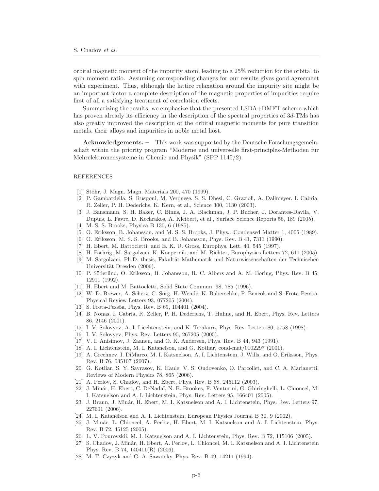orbital magnetic moment of the impurity atom, leading to a 25% reduction for the orbital to spin moment ratio. Assuming corresponding changes for our results gives good agreement with experiment. Thus, although the lattice relaxation around the impurity site might be an important factor a complete description of the magnetic properties of impurities require first of all a satisfying treatment of correlation effects.

Summarizing the results, we emphasize that the presented LSDA+DMFT scheme which has proven already its efficiency in the description of the spectral properties of  $3d$ -TMs has also greatly improved the description of the orbital magnetic moments for pure transition metals, their alloys and impurities in noble metal host.

Acknowledgements. – This work was supported by the Deutsche Forschungsgemeinschaft within the priority program "Moderne und universelle first-principles-Methoden für Mehrelektronensysteme in Chemie und Physik" (SPP 1145/2).

## **REFERENCES**

- [1] Stöhr, J. Magn. Magn. Materials 200, 470 (1999).
- [2] P. Gambardella, S. Rusponi, M. Veronese, S. S. Dhesi, C. Grazioli, A. Dallmeyer, I. Cabria, R. Zeller, P. H. Dederichs, K. Kern, et al., Science 300, 1130 (2003).
- [3] J. Bansmann, S. H. Baker, C. Binns, J. A. Blackman, J. P. Bucher, J. Dorantes-Davila, V. Dupuis, L. Favre, D. Kechrakos, A. Kleibert, et al., Surface Science Reports 56, 189 (2005).
- [4] M. S. S. Brooks, Physica B 130, 6 (1985).
- [5] O. Eriksson, B. Johansson, and M. S. S. Brooks, J. Phys.: Condensed Matter 1, 4005 (1989).
- [6] O. Eriksson, M. S. S. Brooks, and B. Johansson, Phys. Rev. B 41, 7311 (1990).
- [7] H. Ebert, M. Battocletti, and E. K. U. Gross, Europhys. Lett. 40, 545 (1997).
- [8] H. Eschrig, M. Sargolzaei, K. Koepernik, and M. Richter, Europhysics Letters 72, 611 (2005).
- [9] M. Sargolzaei, Ph.D. thesis, Fakultät Mathematik und Naturwissenschaften der Technischen Universität Dresden (2006).
- [10] P. Söderlind, O. Eriksson, B. Johansson, R. C. Albers and A. M. Boring, Phys. Rev. B 45, 12911 (1992).
- [11] H. Ebert and M. Battocletti, Solid State Commun. 98, 785 (1996).
- [12] W. D. Brewer, A. Scherz, C. Sorg, H. Wende, K. Baberschke, P. Bencok and S. Frota-Pessôa, Physical Review Letters 93, 077205 (2004).
- [13] S. Frota-Pessôa, Phys. Rev. B 69, 104401 (2004).
- [14] B. Nonas, I. Cabria, R. Zeller, P. H. Dederichs, T. Huhne, and H. Ebert, Phys. Rev. Letters 86, 2146 (2001).
- [15] I. V. Solovyev, A. I. Liechtenstein, and K. Terakura, Phys. Rev. Letters 80, 5758 (1998).
- [16] I. V. Solovyev, Phys. Rev. Letters 95, 267205 (2005).
- [17] V. I. Anisimov, J. Zaanen, and O. K. Andersen, Phys. Rev. B 44, 943 (1991).
- [18] A. I. Lichtenstein, M. I. Katsnelson, and G. Kotliar, cond-mat/0102297 (2001).
- [19] A. Grechnev, I. DiMarco, M. I. Katsnelson, A. I. Lichtenstein, J. Wills, and O. Eriksson, Phys. Rev. B 76, 035107 (2007).
- [20] G. Kotliar, S. Y. Savrasov, K. Haule, V. S. Oudovenko, O. Parcollet, and C. A. Marianetti, Reviews of Modern Physics 78, 865 (2006).
- [21] A. Perlov, S. Chadov, and H. Ebert, Phys. Rev. B 68, 245112 (2003).
- [22] J. Min´ar, H. Ebert, C. DeNada¨ı, N. B. Brookes, F. Venturini, G. Ghiringhelli, L. Chioncel, M. I. Katsnelson and A. I. Lichtenstein, Phys. Rev. Letters 95, 166401 (2005).
- [23] J. Braun, J. Minár, H. Ebert, M. I. Katsnelson and A. I. Lichtenstein, Phys. Rev. Letters 97, 227601 (2006).
- [24] M. I. Katsnelson and A. I. Lichtenstein, European Physics Journal B 30, 9 (2002).
- [25] J. Minár, L. Chioncel, A. Perlov, H. Ebert, M. I. Katsnelson and A. I. Lichtenstein, Phys. Rev. B 72, 45125 (2005).
- [26] L. V. Pourovskii, M. I. Katsnelson and A. I. Lichtenstein, Phys. Rev. B 72, 115106 (2005).
- [27] S. Chadov, J. Minár, H. Ebert, A. Perlov, L. Chioncel, M. I. Katsnelson and A. I. Lichtenstein Phys. Rev. B 74, 140411(R) (2006).
- [28] M. T. Czyzyk and G. A. Sawatsky, Phys. Rev. B 49, 14211 (1994).